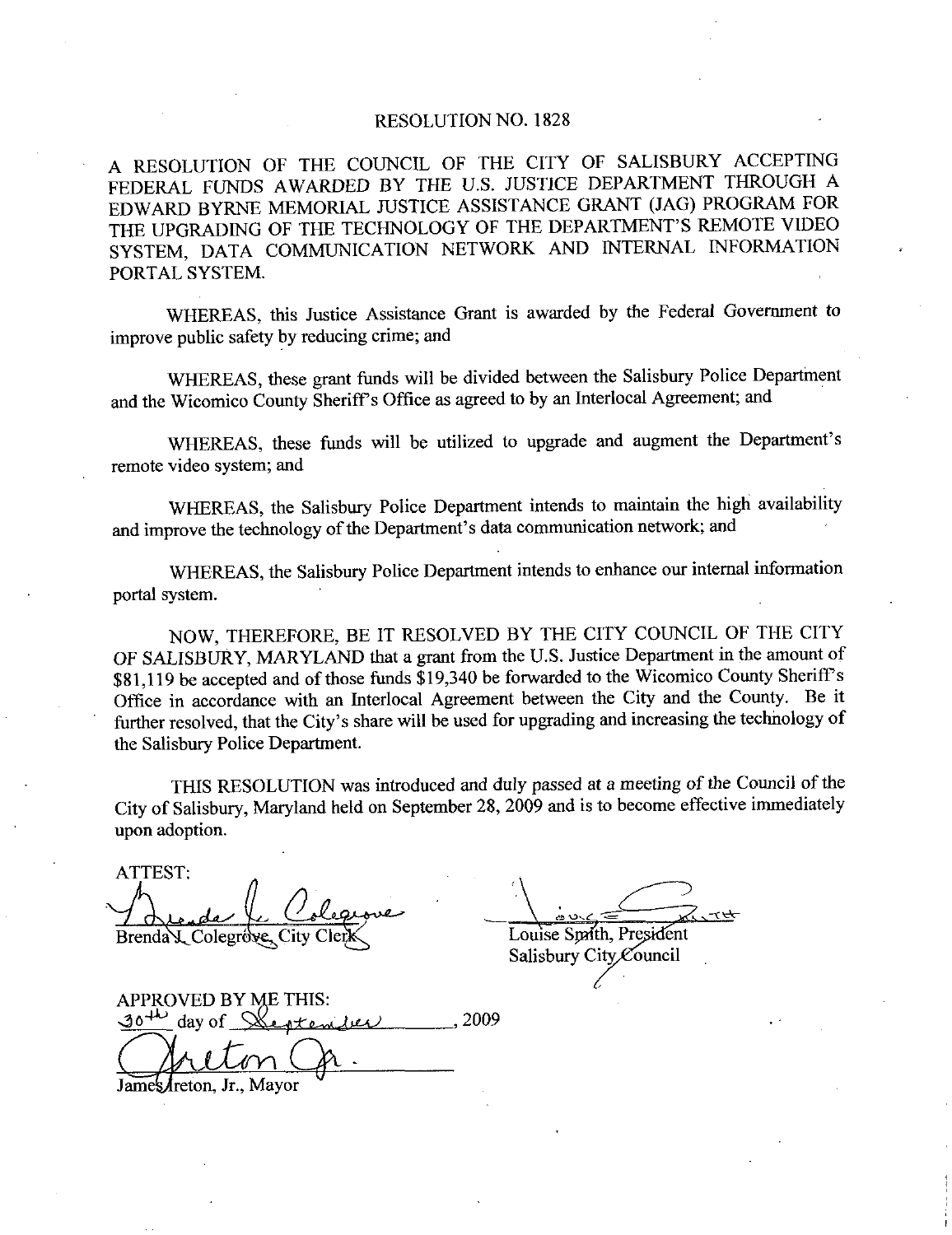## RESOLUTION NO. 1828

A RESOLUTION OF THE COUNCIL OF THE CITY OF SALISBURY ACCEPTING FEDERAL FUNDS AWARDED BY THE U.S. JUSTICE DEPARTMENT THROUGH A EDWARD BYRNE MEMORIAL JUSTICE ASSISTANCE GRANT (JAG) PROGRAM FOR THE UPGRADING OF THE TECHNOLOGY OF THE DEPARTMENT'S REMOTE VIDEO SYSTEM, DATA COMMUNICATION NETWORK AND INTERNAL INFORMATION PORTAL SYSTEM

WHEREAS, this Justice Assistance Grant is awarded by the Federal Government to improve public safety by reducing crime; and

WHEREAS, these grant funds will be divided between the Salisbury Police Department and the Wicomico County Sheriff's Office as agreed to by an Interlocal Agreement; and

WHEREAS, these funds will be utilized to upgrade and augment the Department's remote video system; and al Government to<br>
Police Department<br>
nent; and<br>
the Department's and the Wicomico County Sheriff's Office as ag<br>WHEREAS, these funds will be utiliz<br>remote video system; and<br>WHEREAS, the Salisbury Police Department's<br>WHEREAS, the Salisbury Police Depart

WHEREAS, the Salisbury Police Department intends to maintain the high availability data communication network; and

WHEREAS, the Salisbury Police Department intends to enhance our internal information portal system

NOW, THEREFORE, BE IT RESOLVED BY THE CITY COUNCIL OF THE CITY NOW, THEREFORE, BE IT RESOLVED BY THE CITY COUNCIL OF THE CITY<br>OF SALISBURY, MARYLAND that a grant from the U.S. Justice Department in the amount of OF SALISBURY, MARYLAND that a grant from the U.S. Justice Department in the amount of \$81,119 be accepted and of those funds \$19,340 be forwarded to the Wicomico County Sheriff's Office in acceptance with an Interlocal Agr Office in accordance with an Interlocal Agreement between the City and the County. Be it further resolved, that the City's share will be used for upgrading and increasing the technology of S81,119 be accepted and of those funds \$19,340 be forwarded to the Wicomico County Sheriff's Office in accordance with an Interlocal Agreement between the City and the County. Be it further resolved, that the City's share the Salisbury Police Department

THIS RESOLUTION was introduced and duly passed at <sup>a</sup> meeting of the Council of the City of Salisbury, Maryland held on September 28, 2009 and is to become effective immediately upon adoption

ATTEST Brenda L. Colegrove, City Clerk Louise Spath, President

Salisbury City Council

APPROVED BY ME THIS:  $30<sup>4</sup>$  day of Steptenber 2009

James/reton, Jr., Mayor